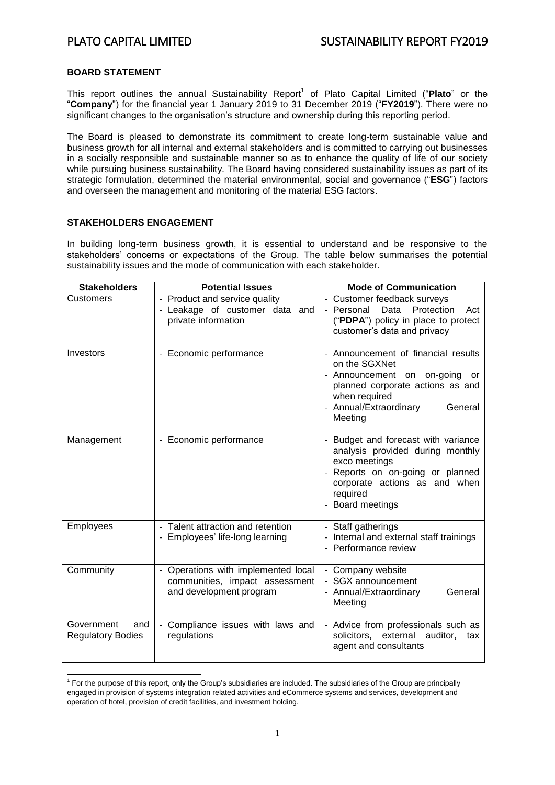# **BOARD STATEMENT**

This report outlines the annual Sustainability Report<sup>1</sup> of Plato Capital Limited ("Plato" or the "**Company**") for the financial year 1 January 2019 to 31 December 2019 ("**FY2019**"). There were no significant changes to the organisation's structure and ownership during this reporting period.

The Board is pleased to demonstrate its commitment to create long-term sustainable value and business growth for all internal and external stakeholders and is committed to carrying out businesses in a socially responsible and sustainable manner so as to enhance the quality of life of our society while pursuing business sustainability. The Board having considered sustainability issues as part of its strategic formulation, determined the material environmental, social and governance ("**ESG**") factors and overseen the management and monitoring of the material ESG factors.

### **STAKEHOLDERS ENGAGEMENT**

In building long-term business growth, it is essential to understand and be responsive to the stakeholders' concerns or expectations of the Group. The table below summarises the potential sustainability issues and the mode of communication with each stakeholder.

| <b>Stakeholders</b>                           | <b>Potential Issues</b>                                                                                                    | <b>Mode of Communication</b>                                                                                                                                                                |  |  |
|-----------------------------------------------|----------------------------------------------------------------------------------------------------------------------------|---------------------------------------------------------------------------------------------------------------------------------------------------------------------------------------------|--|--|
| Customers                                     | - Product and service quality<br>- Leakage of customer data and<br>private information                                     | - Customer feedback surveys<br>Data<br>Protection<br>- Personal<br>Act<br>("PDPA") policy in place to protect<br>customer's data and privacy                                                |  |  |
| Investors                                     | - Economic performance                                                                                                     | Announcement of financial results<br>on the SGXNet<br>- Announcement on on-going<br>or<br>planned corporate actions as and<br>when required<br>- Annual/Extraordinary<br>General<br>Meeting |  |  |
| Management                                    | - Economic performance                                                                                                     | Budget and forecast with variance<br>analysis provided during monthly<br>exco meetings<br>Reports on on-going or planned<br>corporate actions as and when<br>required<br>Board meetings     |  |  |
| Employees                                     | Talent attraction and retention<br>- Employees' life-long learning                                                         | Staff gatherings<br>- Internal and external staff trainings<br>- Performance review                                                                                                         |  |  |
| Community                                     | Operations with implemented local<br>$\overline{\phantom{a}}$<br>communities, impact assessment<br>and development program | - Company website<br>- SGX announcement<br>- Annual/Extraordinary<br>General<br>Meeting                                                                                                     |  |  |
| Government<br>and<br><b>Regulatory Bodies</b> | Compliance issues with laws and<br>regulations                                                                             | - Advice from professionals such as<br>solicitors, external auditor,<br>tax<br>agent and consultants                                                                                        |  |  |

**<sup>.</sup>** <sup>1</sup> For the purpose of this report, only the Group's subsidiaries are included. The subsidiaries of the Group are principally engaged in provision of systems integration related activities and eCommerce systems and services, development and operation of hotel, provision of credit facilities, and investment holding.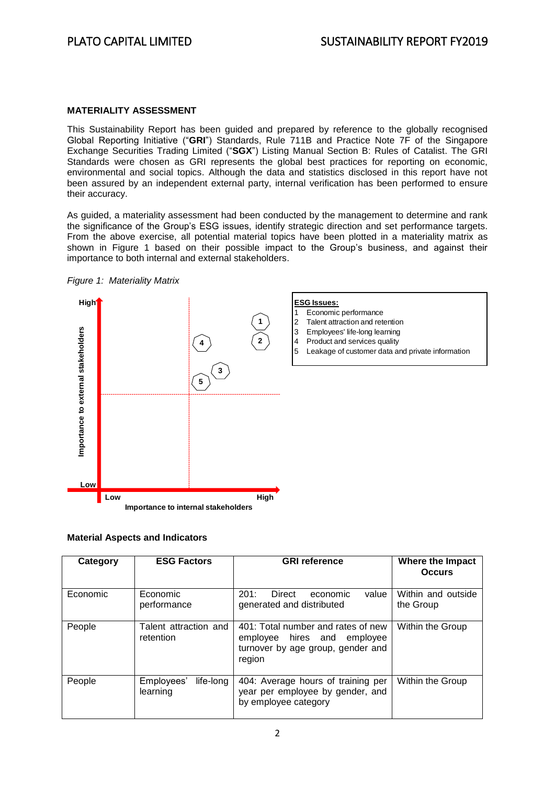# **MATERIALITY ASSESSMENT**

This Sustainability Report has been guided and prepared by reference to the globally recognised Global Reporting Initiative ("**GRI**") Standards, Rule 711B and Practice Note 7F of the Singapore Exchange Securities Trading Limited ("**SGX**") Listing Manual Section B: Rules of Catalist. The GRI Standards were chosen as GRI represents the global best practices for reporting on economic, environmental and social topics. Although the data and statistics disclosed in this report have not been assured by an independent external party, internal verification has been performed to ensure their accuracy.

As guided, a materiality assessment had been conducted by the management to determine and rank the significance of the Group's ESG issues, identify strategic direction and set performance targets. From the above exercise, all potential material topics have been plotted in a materiality matrix as shown in Figure 1 based on their possible impact to the Group's business, and against their importance to both internal and external stakeholders.





### **Material Aspects and Indicators**

| Category | <b>ESG Factors</b>                  | <b>GRI</b> reference                                                                                                | Where the Impact<br><b>Occurs</b> |
|----------|-------------------------------------|---------------------------------------------------------------------------------------------------------------------|-----------------------------------|
| Economic | Economic<br>performance             | 201:<br>value<br>Direct<br>economic<br>generated and distributed                                                    | Within and outside<br>the Group   |
| People   | Talent attraction and<br>retention  | 401: Total number and rates of new<br>employee hires and<br>employee<br>turnover by age group, gender and<br>region | Within the Group                  |
| People   | life-long<br>Employees'<br>learning | 404: Average hours of training per<br>year per employee by gender, and<br>by employee category                      | Within the Group                  |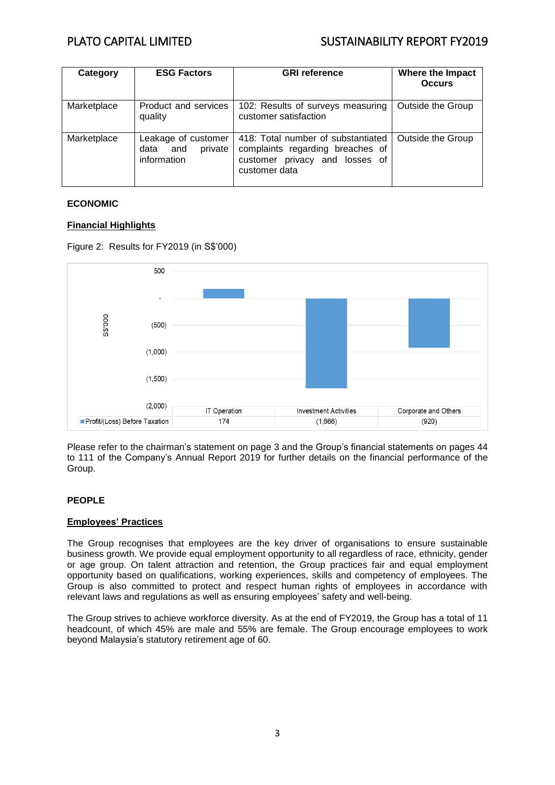# PLATO CAPITAL LIMITED SUSTAINABILITY REPORT FY2019

| Category    | <b>ESG Factors</b>                                           | <b>GRI reference</b>                                                                                                      | <b>Where the Impact</b><br><b>Occurs</b> |
|-------------|--------------------------------------------------------------|---------------------------------------------------------------------------------------------------------------------------|------------------------------------------|
| Marketplace | Product and services<br>quality                              | 102: Results of surveys measuring<br>customer satisfaction                                                                | Outside the Group                        |
| Marketplace | Leakage of customer<br>private<br>and<br>data<br>information | 418: Total number of substantiated<br>complaints regarding breaches of<br>customer privacy and losses of<br>customer data | Outside the Group                        |

# **ECONOMIC**

# **Financial Highlights**





Please refer to the chairman's statement on page 3 and the Group's financial statements on pages 44 to 111 of the Company's Annual Report 2019 for further details on the financial performance of the Group.

# **PEOPLE**

# **Employees' Practices**

The Group recognises that employees are the key driver of organisations to ensure sustainable business growth. We provide equal employment opportunity to all regardless of race, ethnicity, gender or age group. On talent attraction and retention, the Group practices fair and equal employment opportunity based on qualifications, working experiences, skills and competency of employees. The Group is also committed to protect and respect human rights of employees in accordance with relevant laws and regulations as well as ensuring employees' safety and well-being.

The Group strives to achieve workforce diversity. As at the end of FY2019, the Group has a total of 11 headcount, of which 45% are male and 55% are female. The Group encourage employees to work beyond Malaysia's statutory retirement age of 60.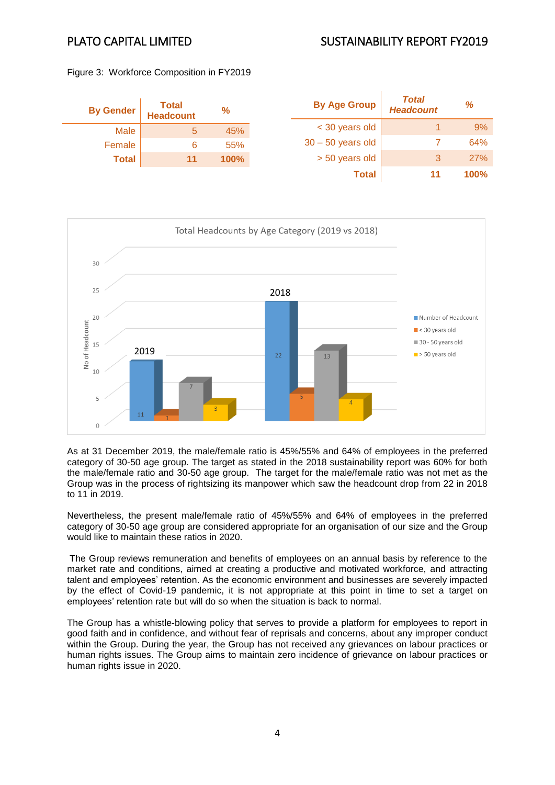# PLATO CAPITAL LIMITED SUSTAINABILITY REPORT FY2019

Figure 3: Workforce Composition in FY2019

| <b>By Gender</b> | Total<br>Headcount | $\frac{9}{6}$ | <b>By Age Group</b> | <b>Total</b><br><b>Headcount</b> | %    |
|------------------|--------------------|---------------|---------------------|----------------------------------|------|
| <b>Male</b>      | 5                  | 45%           | < 30 years old      |                                  | 9%   |
| Female           |                    | 55%           | $30 - 50$ years old |                                  | 64%  |
| <b>Total</b>     | 11                 | 100%          | > 50 years old      |                                  | 27%  |
|                  |                    |               | <b>Total</b>        |                                  | 100% |



As at 31 December 2019, the male/female ratio is 45%/55% and 64% of employees in the preferred category of 30-50 age group. The target as stated in the 2018 sustainability report was 60% for both the male/female ratio and 30-50 age group. The target for the male/female ratio was not met as the Group was in the process of rightsizing its manpower which saw the headcount drop from 22 in 2018 to 11 in 2019.

Nevertheless, the present male/female ratio of 45%/55% and 64% of employees in the preferred category of 30-50 age group are considered appropriate for an organisation of our size and the Group would like to maintain these ratios in 2020.

The Group reviews remuneration and benefits of employees on an annual basis by reference to the market rate and conditions, aimed at creating a productive and motivated workforce, and attracting talent and employees' retention. As the economic environment and businesses are severely impacted by the effect of Covid-19 pandemic, it is not appropriate at this point in time to set a target on employees' retention rate but will do so when the situation is back to normal.

The Group has a whistle-blowing policy that serves to provide a platform for employees to report in good faith and in confidence, and without fear of reprisals and concerns, about any improper conduct within the Group. During the year, the Group has not received any grievances on labour practices or human rights issues. The Group aims to maintain zero incidence of grievance on labour practices or human rights issue in 2020.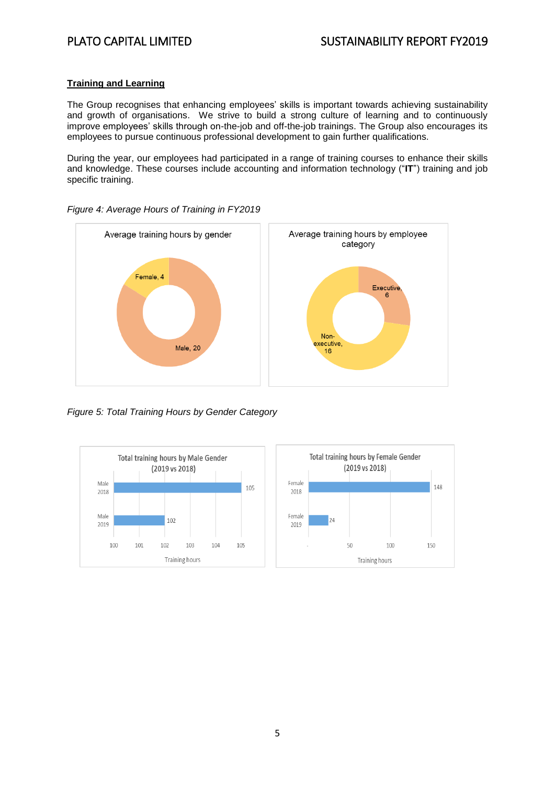# **Training and Learning**

The Group recognises that enhancing employees' skills is important towards achieving sustainability and growth of organisations. We strive to build a strong culture of learning and to continuously improve employees' skills through on-the-job and off-the-job trainings. The Group also encourages its employees to pursue continuous professional development to gain further qualifications.

During the year, our employees had participated in a range of training courses to enhance their skills and knowledge. These courses include accounting and information technology ("**IT**") training and job specific training.



*Figure 4: Average Hours of Training in FY2019*

*Figure 5: Total Training Hours by Gender Category*

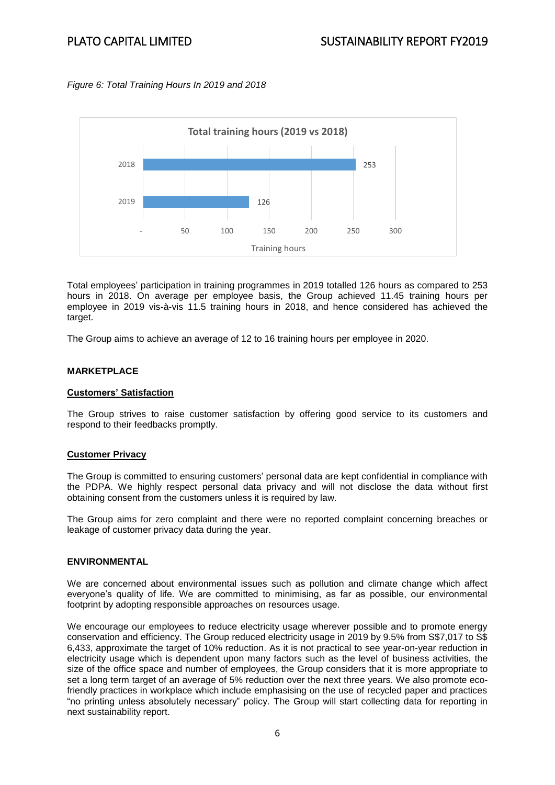# *Figure 6: Total Training Hours In 2019 and 2018*



Total employees' participation in training programmes in 2019 totalled 126 hours as compared to 253 hours in 2018. On average per employee basis, the Group achieved 11.45 training hours per employee in 2019 vis-à-vis 11.5 training hours in 2018, and hence considered has achieved the target.

The Group aims to achieve an average of 12 to 16 training hours per employee in 2020.

# **MARKETPLACE**

# **Customers' Satisfaction**

The Group strives to raise customer satisfaction by offering good service to its customers and respond to their feedbacks promptly.

# **Customer Privacy**

The Group is committed to ensuring customers' personal data are kept confidential in compliance with the PDPA. We highly respect personal data privacy and will not disclose the data without first obtaining consent from the customers unless it is required by law.

The Group aims for zero complaint and there were no reported complaint concerning breaches or leakage of customer privacy data during the year.

### **ENVIRONMENTAL**

We are concerned about environmental issues such as pollution and climate change which affect everyone's quality of life. We are committed to minimising, as far as possible, our environmental footprint by adopting responsible approaches on resources usage.

We encourage our employees to reduce electricity usage wherever possible and to promote energy conservation and efficiency. The Group reduced electricity usage in 2019 by 9.5% from S\$7,017 to S\$ 6,433, approximate the target of 10% reduction. As it is not practical to see year-on-year reduction in electricity usage which is dependent upon many factors such as the level of business activities, the size of the office space and number of employees, the Group considers that it is more appropriate to set a long term target of an average of 5% reduction over the next three years. We also promote ecofriendly practices in workplace which include emphasising on the use of recycled paper and practices "no printing unless absolutely necessary" policy. The Group will start collecting data for reporting in next sustainability report.